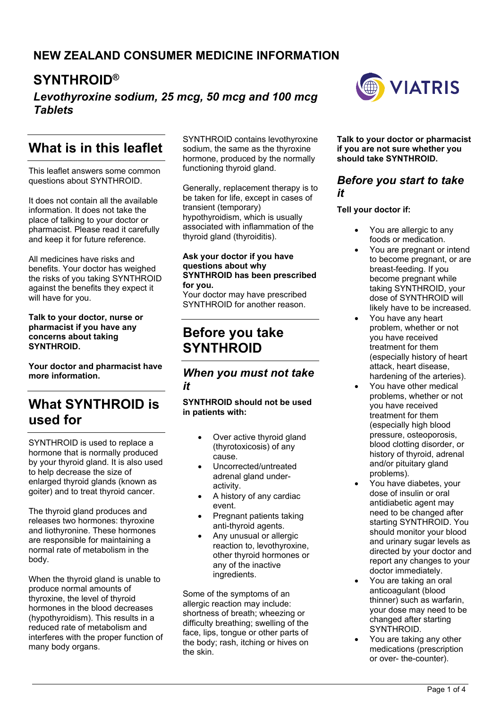## **NEW ZEALAND CONSUMER MEDICINE INFORMATION**

# **SYNTHROID®**

*Levothyroxine sodium, 25 mcg, 50 mcg and 100 mcg Tablets*

# **What is in this leaflet**

This leaflet answers some common questions about SYNTHROID.

It does not contain all the available information. It does not take the place of talking to your doctor or pharmacist. Please read it carefully and keep it for future reference.

All medicines have risks and benefits. Your doctor has weighed the risks of you taking SYNTHROID against the benefits they expect it will have for you.

#### **Talk to your doctor, nurse or pharmacist if you have any concerns about taking SYNTHROID.**

**Your doctor and pharmacist have more information.**

# **What SYNTHROID is used for**

SYNTHROID is used to replace a hormone that is normally produced by your thyroid gland. It is also used to help decrease the size of enlarged thyroid glands (known as goiter) and to treat thyroid cancer.

The thyroid gland produces and releases two hormones: thyroxine and liothyronine. These hormones are responsible for maintaining a normal rate of metabolism in the body.

When the thyroid gland is unable to produce normal amounts of thyroxine, the level of thyroid hormones in the blood decreases (hypothyroidism). This results in a reduced rate of metabolism and interferes with the proper function of many body organs.

SYNTHROID contains levothyroxine sodium, the same as the thyroxine hormone, produced by the normally functioning thyroid gland.

Generally, replacement therapy is to be taken for life, except in cases of transient (temporary) hypothyroidism, which is usually associated with inflammation of the thyroid gland (thyroiditis).

#### **Ask your doctor if you have questions about why SYNTHROID has been prescribed for you.**

Your doctor may have prescribed SYNTHROID for another reason.

## **Before you take SYNTHROID**

### *When you must not take it*

#### **SYNTHROID should not be used in patients with:**

- Over active thyroid gland (thyrotoxicosis) of any cause.
- Uncorrected/untreated adrenal gland underactivity.
- A history of any cardiac event.
- Pregnant patients taking anti-thyroid agents.
- Any unusual or allergic reaction to, levothyroxine, other thyroid hormones or any of the inactive ingredients.

Some of the symptoms of an allergic reaction may include: shortness of breath; wheezing or difficulty breathing; swelling of the face, lips, tongue or other parts of the body; rash, itching or hives on the skin.



**Talk to your doctor or pharmacist if you are not sure whether you should take SYNTHROID.**

#### *Before you start to take it*

#### **Tell your doctor if:**

- You are allergic to any foods or medication.
- You are pregnant or intend to become pregnant, or are breast-feeding. If you become pregnant while taking SYNTHROID, your dose of SYNTHROID will likely have to be increased.
- You have any heart problem, whether or not you have received treatment for them (especially history of heart attack, heart disease, hardening of the arteries).
- You have other medical problems, whether or not you have received treatment for them (especially high blood pressure, osteoporosis, blood clotting disorder, or history of thyroid, adrenal and/or pituitary gland problems).
- You have diabetes, your dose of insulin or oral antidiabetic agent may need to be changed after starting SYNTHROID. You should monitor your blood and urinary sugar levels as directed by your doctor and report any changes to your doctor immediately.
- You are taking an oral anticoagulant (blood thinner) such as warfarin, your dose may need to be changed after starting SYNTHROID.
- You are taking any other medications (prescription or over- the-counter).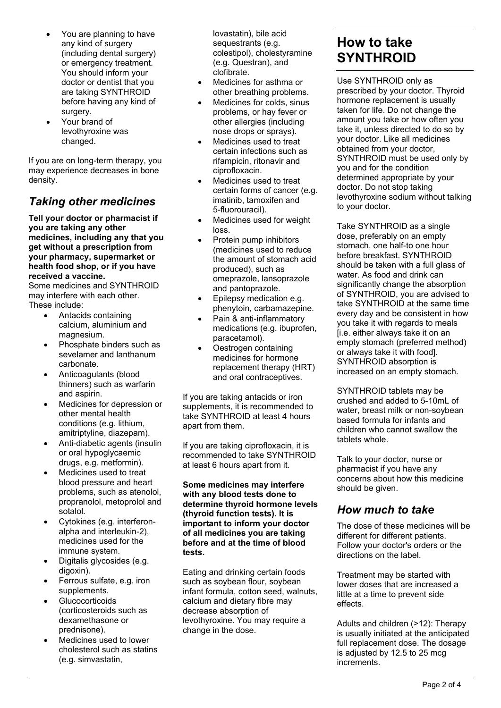- You are planning to have any kind of surgery (including dental surgery) or emergency treatment. You should inform your doctor or dentist that you are taking SYNTHROID before having any kind of surgery.
- Your brand of levothyroxine was changed.

If you are on long-term therapy, you may experience decreases in bone density.

## *Taking other medicines*

**Tell your doctor or pharmacist if you are taking any other medicines, including any that you get without a prescription from your pharmacy, supermarket or health food shop, or if you have received a vaccine.**

Some medicines and SYNTHROID may interfere with each other. These include:

- Antacids containing calcium, aluminium and magnesium.
- Phosphate binders such as sevelamer and lanthanum carbonate.
- Anticoagulants (blood thinners) such as warfarin and aspirin.
- Medicines for depression or other mental health conditions (e.g. lithium, amitriptyline, diazepam).
- Anti-diabetic agents (insulin or oral hypoglycaemic drugs, e.g. metformin).
- Medicines used to treat blood pressure and heart problems, such as atenolol, propranolol, metoprolol and sotalol.
- Cytokines (e.g. interferonalpha and interleukin-2), medicines used for the immune system.
- Digitalis glycosides (e.g. digoxin).
- Ferrous sulfate, e.g. iron supplements.
- Glucocorticoids (corticosteroids such as dexamethasone or prednisone).
- Medicines used to lower cholesterol such as statins (e.g. simvastatin,

lovastatin), bile acid sequestrants (e.g. colestipol), cholestyramine (e.g. Questran), and clofibrate.

- Medicines for asthma or other breathing problems.
- Medicines for colds, sinus problems, or hay fever or other allergies (including nose drops or sprays).
- Medicines used to treat certain infections such as rifampicin, ritonavir and ciprofloxacin.
- Medicines used to treat certain forms of cancer (e.g. imatinib, tamoxifen and 5-fluorouracil).
- Medicines used for weight loss.
- Protein pump inhibitors (medicines used to reduce the amount of stomach acid produced), such as omeprazole, lansoprazole and pantoprazole.
- Epilepsy medication e.g. phenytoin, carbamazepine.
- Pain & anti-inflammatory medications (e.g. ibuprofen, paracetamol).
- Oestrogen containing medicines for hormone replacement therapy (HRT) and oral contraceptives.

If you are taking antacids or iron supplements, it is recommended to take SYNTHROID at least 4 hours apart from them.

If you are taking ciprofloxacin, it is recommended to take SYNTHROID at least 6 hours apart from it.

**Some medicines may interfere with any blood tests done to determine thyroid hormone levels (thyroid function tests). It is important to inform your doctor of all medicines you are taking before and at the time of blood tests.**

Eating and drinking certain foods such as soybean flour, soybean infant formula, cotton seed, walnuts, calcium and dietary fibre may decrease absorption of levothyroxine. You may require a change in the dose.

# **How to take SYNTHROID**

Use SYNTHROID only as prescribed by your doctor. Thyroid hormone replacement is usually taken for life. Do not change the amount you take or how often you take it, unless directed to do so by your doctor. Like all medicines obtained from your doctor, SYNTHROID must be used only by you and for the condition determined appropriate by your doctor. Do not stop taking levothyroxine sodium without talking to your doctor.

Take SYNTHROID as a single dose, preferably on an empty stomach, one half-to one hour before breakfast. SYNTHROID should be taken with a full glass of water. As food and drink can significantly change the absorption of SYNTHROID, you are advised to take SYNTHROID at the same time every day and be consistent in how you take it with regards to meals [i.e. either always take it on an empty stomach (preferred method) or always take it with food]. SYNTHROID absorption is increased on an empty stomach.

SYNTHROID tablets may be crushed and added to 5-10mL of water, breast milk or non-soybean based formula for infants and children who cannot swallow the tablets whole.

Talk to your doctor, nurse or pharmacist if you have any concerns about how this medicine should be given.

### *How much to take*

The dose of these medicines will be different for different patients. Follow your doctor's orders or the directions on the label.

Treatment may be started with lower doses that are increased a little at a time to prevent side effects.

Adults and children (>12): Therapy is usually initiated at the anticipated full replacement dose. The dosage is adjusted by 12.5 to 25 mcg increments.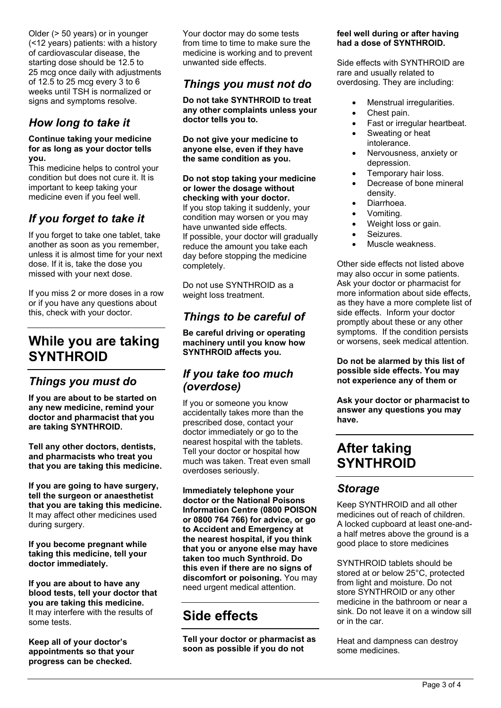Older (> 50 years) or in younger (<12 years) patients: with a history of cardiovascular disease, the starting dose should be 12.5 to 25 mcg once daily with adjustments of 12.5 to 25 mcg every 3 to 6 weeks until TSH is normalized or signs and symptoms resolve.

## *How long to take it*

#### **Continue taking your medicine for as long as your doctor tells you.**

This medicine helps to control your condition but does not cure it. It is important to keep taking your medicine even if you feel well.

## *If you forget to take it*

If you forget to take one tablet, take another as soon as you remember, unless it is almost time for your next dose. If it is, take the dose you missed with your next dose.

If you miss 2 or more doses in a row or if you have any questions about this, check with your doctor.

# **While you are taking SYNTHROID**

### *Things you must do*

**If you are about to be started on any new medicine, remind your doctor and pharmacist that you are taking SYNTHROID.**

**Tell any other doctors, dentists, and pharmacists who treat you that you are taking this medicine.**

**If you are going to have surgery, tell the surgeon or anaesthetist that you are taking this medicine.** It may affect other medicines used during surgery.

**If you become pregnant while taking this medicine, tell your doctor immediately.**

**If you are about to have any blood tests, tell your doctor that you are taking this medicine.** It may interfere with the results of some tests.

**Keep all of your doctor's appointments so that your progress can be checked.**

Your doctor may do some tests from time to time to make sure the medicine is working and to prevent unwanted side effects.

### *Things you must not do*

**Do not take SYNTHROID to treat any other complaints unless your doctor tells you to.**

**Do not give your medicine to anyone else, even if they have the same condition as you.**

**Do not stop taking your medicine or lower the dosage without checking with your doctor.** If you stop taking it suddenly, your condition may worsen or you may have unwanted side effects. If possible, your doctor will gradually reduce the amount you take each day before stopping the medicine completely.

Do not use SYNTHROID as a weight loss treatment.

## *Things to be careful of*

**Be careful driving or operating machinery until you know how SYNTHROID affects you.**

### *If you take too much (overdose)*

If you or someone you know accidentally takes more than the prescribed dose, contact your doctor immediately or go to the nearest hospital with the tablets. Tell your doctor or hospital how much was taken. Treat even small overdoses seriously.

**Immediately telephone your doctor or the National Poisons Information Centre (0800 POISON or 0800 764 766) for advice, or go to Accident and Emergency at the nearest hospital, if you think that you or anyone else may have taken too much Synthroid. Do this even if there are no signs of discomfort or poisoning.** You may need urgent medical attention.

# **Side effects**

**Tell your doctor or pharmacist as soon as possible if you do not** 

#### **feel well during or after having had a dose of SYNTHROID.**

Side effects with SYNTHROID are rare and usually related to overdosing. They are including:

- Menstrual irregularities.
- Chest pain.
- Fast or irregular heartbeat.
- Sweating or heat intolerance.
- Nervousness, anxiety or depression.
- Temporary hair loss.
- Decrease of bone mineral density.
- Diarrhoea.
- Vomiting.
- Weight loss or gain.
- Seizures.
- Muscle weakness.

Other side effects not listed above may also occur in some patients. Ask your doctor or pharmacist for more information about side effects, as they have a more complete list of side effects. Inform your doctor promptly about these or any other symptoms. If the condition persists or worsens, seek medical attention.

**Do not be alarmed by this list of possible side effects. You may not experience any of them or** 

**Ask your doctor or pharmacist to answer any questions you may have.**

# **After taking SYNTHROID**

### *Storage*

Keep SYNTHROID and all other medicines out of reach of children. A locked cupboard at least one-anda half metres above the ground is a good place to store medicines

SYNTHROID tablets should be stored at or below 25°C, protected from light and moisture. Do not store SYNTHROID or any other medicine in the bathroom or near a sink. Do not leave it on a window sill or in the car.

Heat and dampness can destroy some medicines.